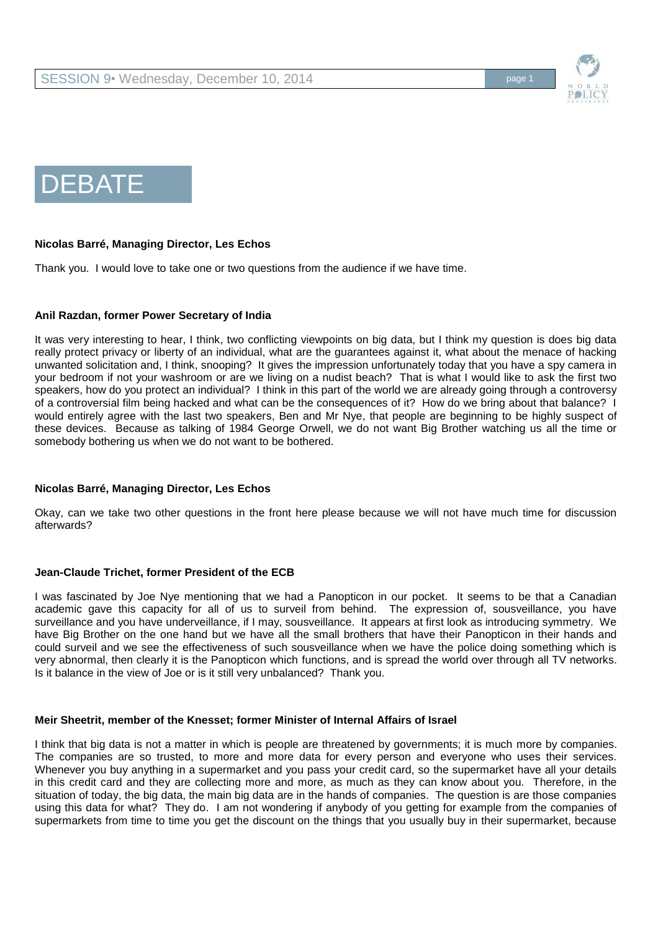



### **Nicolas Barré, Managing Director, Les Echos**

Thank you. I would love to take one or two questions from the audience if we have time.

## **Anil Razdan, former Power Secretary of India**

It was very interesting to hear, I think, two conflicting viewpoints on big data, but I think my question is does big data really protect privacy or liberty of an individual, what are the guarantees against it, what about the menace of hacking unwanted solicitation and, I think, snooping? It gives the impression unfortunately today that you have a spy camera in your bedroom if not your washroom or are we living on a nudist beach? That is what I would like to ask the first two speakers, how do you protect an individual? I think in this part of the world we are already going through a controversy of a controversial film being hacked and what can be the consequences of it? How do we bring about that balance? I would entirely agree with the last two speakers, Ben and Mr Nye, that people are beginning to be highly suspect of these devices. Because as talking of 1984 George Orwell, we do not want Big Brother watching us all the time or somebody bothering us when we do not want to be bothered.

#### **Nicolas Barré, Managing Director, Les Echos**

Okay, can we take two other questions in the front here please because we will not have much time for discussion afterwards?

#### **Jean-Claude Trichet, former President of the ECB**

I was fascinated by Joe Nye mentioning that we had a Panopticon in our pocket. It seems to be that a Canadian academic gave this capacity for all of us to surveil from behind. The expression of, sousveillance, you have surveillance and you have underveillance, if I may, sousveillance. It appears at first look as introducing symmetry. We have Big Brother on the one hand but we have all the small brothers that have their Panopticon in their hands and could surveil and we see the effectiveness of such sousveillance when we have the police doing something which is very abnormal, then clearly it is the Panopticon which functions, and is spread the world over through all TV networks. Is it balance in the view of Joe or is it still very unbalanced? Thank you.

#### **Meir Sheetrit, member of the Knesset; former Minister of Internal Affairs of Israel**

I think that big data is not a matter in which is people are threatened by governments; it is much more by companies. The companies are so trusted, to more and more data for every person and everyone who uses their services. Whenever you buy anything in a supermarket and you pass your credit card, so the supermarket have all your details in this credit card and they are collecting more and more, as much as they can know about you. Therefore, in the situation of today, the big data, the main big data are in the hands of companies. The question is are those companies using this data for what? They do. I am not wondering if anybody of you getting for example from the companies of supermarkets from time to time you get the discount on the things that you usually buy in their supermarket, because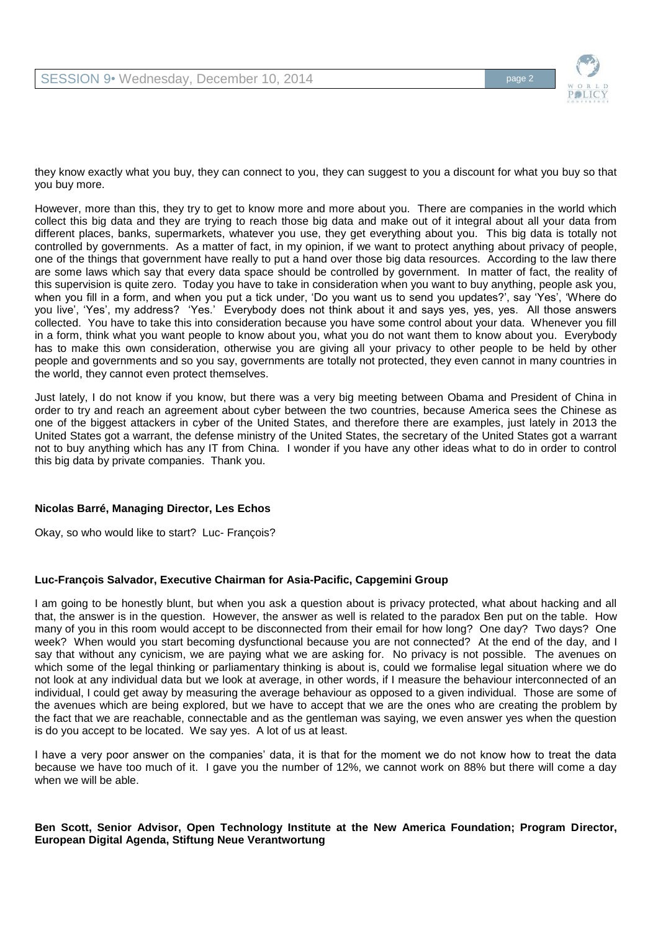

they know exactly what you buy, they can connect to you, they can suggest to you a discount for what you buy so that you buy more.

However, more than this, they try to get to know more and more about you. There are companies in the world which collect this big data and they are trying to reach those big data and make out of it integral about all your data from different places, banks, supermarkets, whatever you use, they get everything about you. This big data is totally not controlled by governments. As a matter of fact, in my opinion, if we want to protect anything about privacy of people, one of the things that government have really to put a hand over those big data resources. According to the law there are some laws which say that every data space should be controlled by government. In matter of fact, the reality of this supervision is quite zero. Today you have to take in consideration when you want to buy anything, people ask you, when you fill in a form, and when you put a tick under, 'Do you want us to send you updates?', say 'Yes', 'Where do you live', 'Yes', my address? 'Yes.' Everybody does not think about it and says yes, yes, yes. All those answers collected. You have to take this into consideration because you have some control about your data. Whenever you fill in a form, think what you want people to know about you, what you do not want them to know about you. Everybody has to make this own consideration, otherwise you are giving all your privacy to other people to be held by other people and governments and so you say, governments are totally not protected, they even cannot in many countries in the world, they cannot even protect themselves.

Just lately, I do not know if you know, but there was a very big meeting between Obama and President of China in order to try and reach an agreement about cyber between the two countries, because America sees the Chinese as one of the biggest attackers in cyber of the United States, and therefore there are examples, just lately in 2013 the United States got a warrant, the defense ministry of the United States, the secretary of the United States got a warrant not to buy anything which has any IT from China. I wonder if you have any other ideas what to do in order to control this big data by private companies. Thank you.

# **Nicolas Barré, Managing Director, Les Echos**

Okay, so who would like to start? Luc- François?

# **Luc-François Salvador, Executive Chairman for Asia-Pacific, Capgemini Group**

I am going to be honestly blunt, but when you ask a question about is privacy protected, what about hacking and all that, the answer is in the question. However, the answer as well is related to the paradox Ben put on the table. How many of you in this room would accept to be disconnected from their email for how long? One day? Two days? One week? When would you start becoming dysfunctional because you are not connected? At the end of the day, and I say that without any cynicism, we are paying what we are asking for. No privacy is not possible. The avenues on which some of the legal thinking or parliamentary thinking is about is, could we formalise legal situation where we do not look at any individual data but we look at average, in other words, if I measure the behaviour interconnected of an individual, I could get away by measuring the average behaviour as opposed to a given individual. Those are some of the avenues which are being explored, but we have to accept that we are the ones who are creating the problem by the fact that we are reachable, connectable and as the gentleman was saying, we even answer yes when the question is do you accept to be located. We say yes. A lot of us at least.

I have a very poor answer on the companies' data, it is that for the moment we do not know how to treat the data because we have too much of it. I gave you the number of 12%, we cannot work on 88% but there will come a day when we will be able.

### **Ben Scott, Senior Advisor, Open Technology Institute at the New America Foundation; Program Director, European Digital Agenda, Stiftung Neue Verantwortung**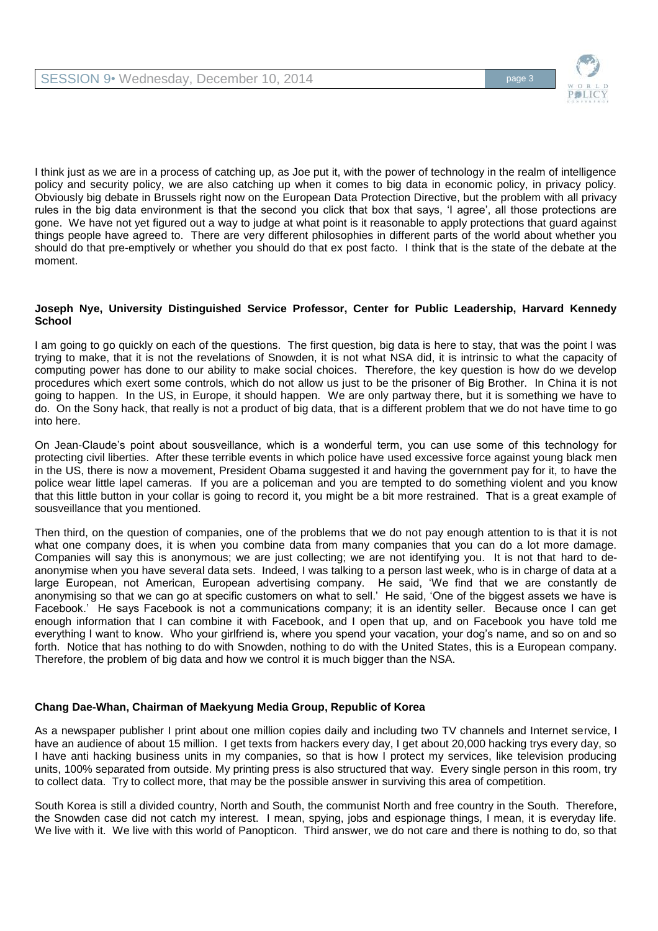

I think just as we are in a process of catching up, as Joe put it, with the power of technology in the realm of intelligence policy and security policy, we are also catching up when it comes to big data in economic policy, in privacy policy. Obviously big debate in Brussels right now on the European Data Protection Directive, but the problem with all privacy rules in the big data environment is that the second you click that box that says, 'I agree', all those protections are gone. We have not yet figured out a way to judge at what point is it reasonable to apply protections that guard against things people have agreed to. There are very different philosophies in different parts of the world about whether you should do that pre-emptively or whether you should do that ex post facto. I think that is the state of the debate at the moment.

## **Joseph Nye, University Distinguished Service Professor, Center for Public Leadership, Harvard Kennedy School**

I am going to go quickly on each of the questions. The first question, big data is here to stay, that was the point I was trying to make, that it is not the revelations of Snowden, it is not what NSA did, it is intrinsic to what the capacity of computing power has done to our ability to make social choices. Therefore, the key question is how do we develop procedures which exert some controls, which do not allow us just to be the prisoner of Big Brother. In China it is not going to happen. In the US, in Europe, it should happen. We are only partway there, but it is something we have to do. On the Sony hack, that really is not a product of big data, that is a different problem that we do not have time to go into here.

On Jean-Claude's point about sousveillance, which is a wonderful term, you can use some of this technology for protecting civil liberties. After these terrible events in which police have used excessive force against young black men in the US, there is now a movement, President Obama suggested it and having the government pay for it, to have the police wear little lapel cameras. If you are a policeman and you are tempted to do something violent and you know that this little button in your collar is going to record it, you might be a bit more restrained. That is a great example of sousveillance that you mentioned.

Then third, on the question of companies, one of the problems that we do not pay enough attention to is that it is not what one company does, it is when you combine data from many companies that you can do a lot more damage. Companies will say this is anonymous; we are just collecting; we are not identifying you. It is not that hard to deanonymise when you have several data sets. Indeed, I was talking to a person last week, who is in charge of data at a large European, not American, European advertising company. He said, 'We find that we are constantly de anonymising so that we can go at specific customers on what to sell.' He said, 'One of the biggest assets we have is Facebook.' He says Facebook is not a communications company; it is an identity seller. Because once I can get enough information that I can combine it with Facebook, and I open that up, and on Facebook you have told me everything I want to know. Who your girlfriend is, where you spend your vacation, your dog's name, and so on and so forth. Notice that has nothing to do with Snowden, nothing to do with the United States, this is a European company. Therefore, the problem of big data and how we control it is much bigger than the NSA.

# **Chang Dae-Whan, Chairman of Maekyung Media Group, Republic of Korea**

As a newspaper publisher I print about one million copies daily and including two TV channels and Internet service, I have an audience of about 15 million. I get texts from hackers every day, I get about 20,000 hacking trys every day, so I have anti hacking business units in my companies, so that is how I protect my services, like television producing units, 100% separated from outside. My printing press is also structured that way. Every single person in this room, try to collect data. Try to collect more, that may be the possible answer in surviving this area of competition.

South Korea is still a divided country, North and South, the communist North and free country in the South. Therefore, the Snowden case did not catch my interest. I mean, spying, jobs and espionage things, I mean, it is everyday life. We live with it. We live with this world of Panopticon. Third answer, we do not care and there is nothing to do, so that